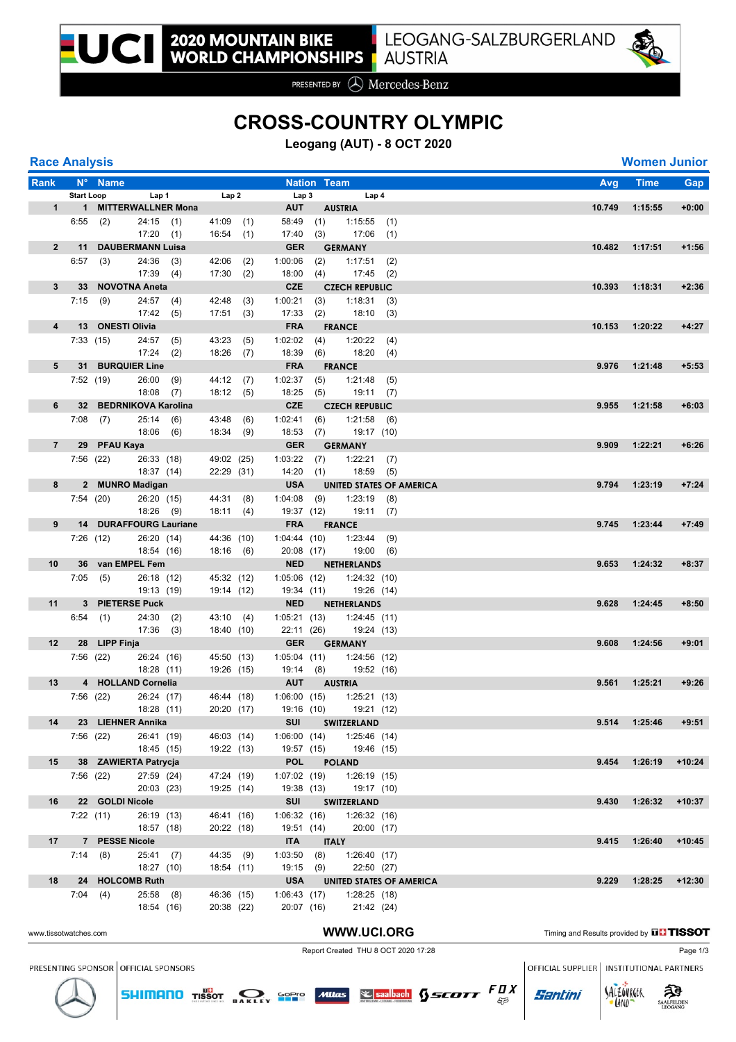

PRESENTED BY **A** Mercedes-Benz

## **CROSS-COUNTRY OLYMPIC**

**Leogang (AUT) - 8 OCT 2020**

| <b>Race Analysis</b> |  |
|----------------------|--|
|                      |  |

| <b>Race Analysis</b>  |                   |                        |                          |                        |                          |     |                           |                    |                                           |     |                                               | <b>Women Junior</b> |            |
|-----------------------|-------------------|------------------------|--------------------------|------------------------|--------------------------|-----|---------------------------|--------------------|-------------------------------------------|-----|-----------------------------------------------|---------------------|------------|
| Rank                  |                   | N° Name                |                          |                        |                          |     |                           | <b>Nation Team</b> |                                           |     | Avg                                           | <b>Time</b>         | <b>Gap</b> |
|                       | <b>Start Loop</b> |                        |                          | Lap <sub>1</sub>       | Lap2                     |     | Lap <sub>3</sub>          |                    | Lap 4                                     |     |                                               |                     |            |
|                       |                   |                        |                          | 1 1 MITTERWALLNER Mona |                          |     | <b>AUT</b>                |                    | <b>AUSTRIA</b>                            |     | 10.749                                        | 1:15:55             | $+0:00$    |
|                       |                   | $6:55$ (2)             | $24:15$ (1)              |                        | $41:09$ (1)              |     | 58:49                     | (1)                | 1:15:55                                   | (1) |                                               |                     |            |
|                       |                   |                        | 17:20(1)                 |                        | 16:54(1)                 |     | 17:40                     | (3)                | $17:06$ (1)                               |     |                                               |                     |            |
| $\overline{2}$        |                   | 11 DAUBERMANN Luisa    |                          |                        |                          |     | <b>GER</b>                |                    | <b>GERMANY</b>                            |     | 10.482                                        | 1:17:51             | $+1:56$    |
|                       | 6:57              | (3)                    | 24:36                    | (3)                    | 42:06                    | (2) | 1:00:06                   | (2)                | 1:17:51                                   | (2) |                                               |                     |            |
|                       |                   |                        | $17:39$ (4)              |                        | 17:30(2)                 |     | 18:00                     | (4)                | 17:45                                     | (2) |                                               |                     |            |
| $\mathbf{3}$          |                   | 33 NOVOTNA Aneta       |                          |                        |                          |     | <b>CZE</b>                |                    | <b>CZECH REPUBLIC</b>                     |     | 10.393                                        | 1:18:31             | $+2:36$    |
|                       |                   | $7:15$ (9)             | $24:57$ (4)              |                        | 42:48                    | (3) | 1:00:21                   | (3)                | 1:18:31                                   | (3) |                                               |                     |            |
|                       |                   |                        | 17:42(5)                 |                        | 17:51(3)                 |     | 17:33                     | (2)                | 18:10(3)                                  |     |                                               |                     |            |
| 4                     |                   | 13 ONESTI Olivia       |                          |                        |                          |     | <b>FRA</b>                |                    | <b>FRANCE</b>                             |     | 10.153                                        | 1:20:22             | $+4:27$    |
|                       |                   | 7:33(15)               | $24:57$ (5)              |                        | 43:23(5)                 |     | 1:02:02                   | (4)                | 1:20:22(4)                                |     |                                               |                     |            |
|                       |                   |                        | 17:24                    | (2)                    | $18:26$ (7)              |     | 18:39                     | (6)                | 18:20(4)                                  |     |                                               |                     |            |
| 5                     |                   | 31 BURQUIER Line       |                          |                        |                          |     | <b>FRA</b>                |                    | <b>FRANCE</b>                             |     | 9.976                                         | 1:21:48             | $+5:53$    |
|                       |                   | 7:52(19)               | 26:00                    | (9)                    | 44:12 (7)                |     | 1:02:37                   | (5)                | 1:21:48                                   | (5) |                                               |                     |            |
|                       |                   |                        | $18:08$ (7)              |                        | 18:12(5)                 |     | 18:25                     | (5)                | 19:11(7)                                  |     |                                               |                     |            |
| 6                     |                   | 32 BEDRNIKOVA Karolina |                          |                        |                          |     | <b>CZE</b>                |                    | <b>CZECH REPUBLIC</b>                     |     | 9.955                                         | 1:21:58             | $+6:03$    |
|                       |                   | $7:08$ (7)             | 25:14(6)                 |                        | 43:48 (6)                |     | 1:02:41                   | (6)                | 1:21:58                                   | (6) |                                               |                     |            |
|                       |                   |                        | 18:06 (6)                |                        | 18:34(9)                 |     | 18:53                     | (7)                | 19:17 (10)                                |     |                                               |                     |            |
| $\overline{7}$        |                   | 29 PFAU Kaya           |                          |                        |                          |     | <b>GER</b>                |                    | <b>GERMANY</b>                            |     | 9.909                                         | 1:22:21             | $+6:26$    |
|                       |                   | 7:56(22)               | 26:33 (18)               |                        | 49:02 (25)               |     | $1:03:22$ (7)             |                    | 1:22:21                                   | (7) |                                               |                     |            |
|                       |                   |                        |                          | 18:37 (14)             | 22:29 (31)               |     | 14:20(1)                  |                    | 18:59                                     | (5) |                                               |                     |            |
| 8                     |                   | 2 MUNRO Madigan        |                          |                        |                          |     | <b>USA</b>                |                    | UNITED STATES OF AMERICA                  |     | 9.794                                         | 1:23:19             | $+7:24$    |
|                       |                   | 7:54 (20)              | 26:20 (15)               |                        | 44:31 (8)                |     | $1:04:08$ (9)             |                    | 1:23:19                                   | (8) |                                               |                     |            |
|                       |                   |                        | 18:26 (9)                |                        | 18:11(4)                 |     | 19:37 (12)                |                    | 19:11(7)                                  |     |                                               |                     |            |
| 9                     |                   | 14 DURAFFOURG Lauriane |                          |                        |                          |     | <b>FRA</b>                |                    | <b>FRANCE</b>                             |     | 9.745                                         | 1:23:44             | $+7:49$    |
|                       |                   | 7:26(12)               | 26:20 (14)               |                        | 44:36 (10)               |     | 1:04:44(10)               |                    | $1:23:44$ (9)                             |     |                                               |                     |            |
| 10                    |                   | 36 van EMPEL Fem       | 18:54 (16)               |                        | 18:16 (6)                |     | 20:08 (17)<br><b>NED</b>  |                    | 19:00 (6)                                 |     | 9.653                                         | 1:24:32             | $+8:37$    |
|                       |                   |                        |                          |                        |                          |     |                           |                    | <b>NETHERLANDS</b>                        |     |                                               |                     |            |
|                       |                   | 7:05(5)                | 26:18 (12)<br>19:13 (19) |                        | 45:32 (12)<br>19:14 (12) |     | 1:05:06(12)<br>19:34 (11) |                    | 1:24:32(10)<br>19:26 (14)                 |     |                                               |                     |            |
| 11                    |                   | 3 PIETERSE Puck        |                          |                        |                          |     | <b>NED</b>                |                    | <b>NETHERLANDS</b>                        |     | 9.628                                         | 1:24:45             | $+8:50$    |
|                       |                   |                        | 24:30                    |                        |                          |     |                           |                    |                                           |     |                                               |                     |            |
|                       |                   | 6:54(1)                | $17:36$ (3)              | (2)                    | 43:10 (4)<br>18:40 (10)  |     | 22:11 (26)                |                    | $1:05:21(13)$ $1:24:45(11)$<br>19:24 (13) |     |                                               |                     |            |
| 12                    |                   | 28 LIPP Finja          |                          |                        |                          |     |                           |                    | <b>GER GERMANY</b>                        |     | 9.608                                         | 1:24:56             | $+9:01$    |
|                       |                   | 7:56(22)               | 26:24 (16)               |                        | 45:50 (13)               |     | 1:05:04(11)               |                    | 1:24:56 (12)                              |     |                                               |                     |            |
|                       |                   |                        | 18:28 (11)               |                        | 19:26 (15)               |     | 19:14 (8)                 |                    | 19:52 (16)                                |     |                                               |                     |            |
| 13                    |                   | 4 HOLLAND Cornelia     |                          |                        |                          |     | <b>AUT</b>                |                    | <b>AUSTRIA</b>                            |     | 9.561                                         | 1:25:21             | $+9:26$    |
|                       |                   | 7:56(22)               | 26:24 (17)               |                        | 46:44 (18)               |     | 1:06:00(15)               |                    | 1:25:21(13)                               |     |                                               |                     |            |
|                       |                   |                        | 18:28 (11)               |                        |                          |     |                           |                    | 20:20 (17)  19:16 (10)  19:21 (12)        |     |                                               |                     |            |
| 14                    |                   | 23 LIEHNER Annika      |                          |                        |                          |     | SUI                       |                    | <b>SWITZERLAND</b>                        |     | 9.514                                         | 1:25:46             | $+9:51$    |
|                       |                   | 7:56(22)               | 26:41 (19)               |                        | 46:03 (14)               |     |                           |                    | 1:06:00 (14) 1:25:46 (14)                 |     |                                               |                     |            |
|                       |                   |                        | 18:45 (15)               |                        | 19:22 (13)               |     |                           |                    | 19:57 (15) 19:46 (15)                     |     |                                               |                     |            |
| 15                    |                   | 38 ZAWIERTA Patrycja   |                          |                        |                          |     |                           |                    | POL POLAND                                |     | 9.454                                         | 1:26:19             | $+10:24$   |
|                       |                   | 7:56 (22)              | 27:59 (24)               |                        | 47:24 (19)               |     | $1:07:02$ (19)            |                    | 1:26:19(15)                               |     |                                               |                     |            |
|                       |                   |                        | 20:03(23)                |                        | 19:25 (14)               |     | 19:38 (13)                |                    | 19:17 (10)                                |     |                                               |                     |            |
| 16                    |                   | 22 GOLDI Nicole        |                          |                        |                          |     | <b>SUI</b>                |                    | <b>SWITZERLAND</b>                        |     | 9.430                                         | 1:26:32             | $+10:37$   |
|                       |                   | 7:22(11)               | 26:19 (13)               |                        | 46:41 (16)               |     | 1:06:32(16)               |                    | 1:26:32(16)                               |     |                                               |                     |            |
|                       |                   |                        | 18:57 (18)               |                        | 20:22 (18)               |     | 19:51 (14)                |                    | 20:00 (17)                                |     |                                               |                     |            |
| 17                    |                   | 7 PESSE Nicole         |                          |                        |                          |     | <b>ITA</b>                |                    | <b>ITALY</b>                              |     | 9.415                                         | 1:26:40             | $+10:45$   |
|                       |                   | 7:14(8)                | $25:41$ (7)              |                        | 44:35 (9)                |     | 1:03:50(8)                |                    | 1:26:40(17)                               |     |                                               |                     |            |
|                       |                   |                        | 18:27 (10)               |                        | 18:54 (11)               |     | 19:15 (9)                 |                    | 22:50 (27)                                |     |                                               |                     |            |
| 18                    |                   | 24 HOLCOMB Ruth        |                          |                        |                          |     | <b>USA</b>                |                    | <b>UNITED STATES OF AMERICA</b>           |     | 9.229                                         | 1:28:25             | $+12:30$   |
|                       |                   | 7:04(4)                | 25:58(8)                 |                        | 46:36 (15)               |     | 1:06:43(17)               |                    | 1:28:25(18)                               |     |                                               |                     |            |
|                       |                   |                        | 18:54 (16)               |                        | 20:38 (22)               |     | 20:07 (16)                |                    | 21:42 (24)                                |     |                                               |                     |            |
|                       |                   |                        |                          |                        |                          |     |                           |                    |                                           |     |                                               |                     |            |
| www.tissotwatches.com |                   |                        |                          |                        |                          |     |                           |                    | <b>WWW.UCI.ORG</b>                        |     | Timing and Results provided by <b>THISSOT</b> |                     |            |



**LAND** 

Report Created THU 8 OCT 2020 17:28 Page 1/3

PRESENTING SPONSOR OFFICIAL SPONSORS

OFFICIAL SUPPLIER | INSTITUTIONAL PARTNERS



**SHIMANO** TISSOT **RANGE SEPPLE MILTS SEE SARAWARD SECOTT**  $F \underset{\widetilde{\varphi}^{\beta}}{\mathbf{D}} X$ 



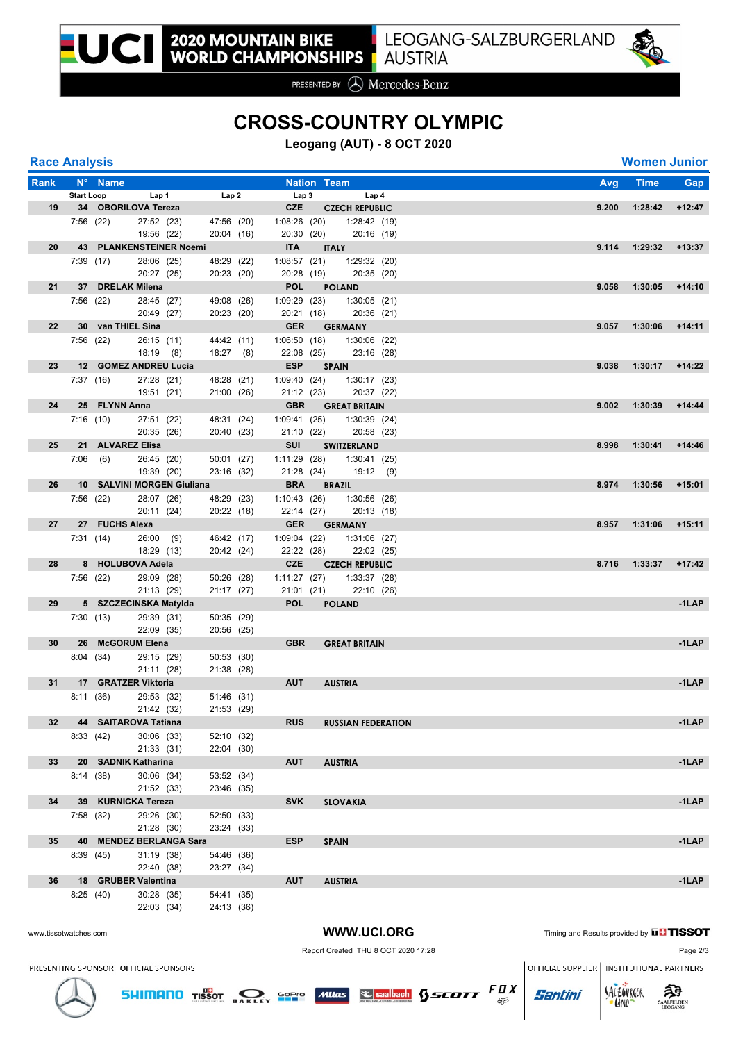

PRESENTED BY **A** Mercedes-Benz

## **CROSS-COUNTRY OLYMPIC**

**Leogang (AUT) - 8 OCT 2020**

| <b>Race Analysis</b> |  |
|----------------------|--|
|                      |  |

| <b>Race Analysis</b>  |                   |                   |                                   |                          |                            |                    |                                                 |  |                                               |       | <b>Women Junior</b> |          |
|-----------------------|-------------------|-------------------|-----------------------------------|--------------------------|----------------------------|--------------------|-------------------------------------------------|--|-----------------------------------------------|-------|---------------------|----------|
| Rank                  |                   | N° Name           |                                   |                          |                            | <b>Nation Team</b> |                                                 |  |                                               | Avg   | <b>Time</b>         | Gap      |
|                       | <b>Start Loop</b> |                   | Lap 1                             | Lap2                     | Lap <sub>3</sub>           |                    | Lap <sub>4</sub>                                |  |                                               |       |                     |          |
| 19 <sup>°</sup>       |                   |                   | 34 OBORILOVA Tereza               |                          | <b>CZE</b>                 |                    | <b>CZECH REPUBLIC</b>                           |  |                                               | 9.200 | 1:28:42             | $+12:47$ |
|                       | 7:56(22)          |                   | 27:52 (23)                        | 47:56 (20)               |                            |                    | 1:08:26 (20) 1:28:42 (19)                       |  |                                               |       |                     |          |
|                       |                   |                   | 19:56 (22)                        | 20:04 (16)               | 20:30 (20)                 |                    | 20:16 (19)                                      |  |                                               |       |                     |          |
| 20                    |                   |                   | 43 PLANKENSTEINER Noemi           |                          | <b>ITA</b>                 |                    | <b>ITALY</b>                                    |  |                                               | 9.114 | 1:29:32             | $+13:37$ |
|                       |                   | 7:39(17)          | 28:06 (25)<br>20:27 (25)          | 48:29 (22)<br>20:23 (20) | 1:08:57 (21)<br>20:28 (19) |                    | 1:29:32 (20)<br>20:35 (20)                      |  |                                               |       |                     |          |
| 21                    |                   | 37 DRELAK Milena  |                                   |                          | <b>POL</b>                 |                    | <b>POLAND</b>                                   |  |                                               | 9.058 | 1:30:05             | $+14:10$ |
|                       |                   | 7:56(22)          | 28:45 (27)                        | 49:08 (26)               | 1:09:29(23)                |                    | 1:30:05(21)                                     |  |                                               |       |                     |          |
|                       |                   |                   | 20:49 (27)                        | 20:23 (20)               | 20:21 (18)                 |                    | 20:36 (21)                                      |  |                                               |       |                     |          |
| 22                    |                   | 30 van THIEL Sina |                                   |                          | <b>GER</b>                 |                    | <b>GERMANY</b>                                  |  |                                               | 9.057 | 1:30:06             | $+14:11$ |
|                       | 7:56(22)          |                   | 26:15(11)                         | 44:42 (11)               | 1:06:50 (18)               |                    | $1:30:06$ (22)                                  |  |                                               |       |                     |          |
|                       |                   |                   | $18:19$ (8)                       | $18:27$ (8)              | 22:08 (25)                 |                    | 23:16 (28)                                      |  |                                               |       |                     |          |
| 23                    |                   |                   | 12 GOMEZ ANDREU Lucia             |                          | <b>ESP</b>                 |                    | <b>SPAIN</b>                                    |  |                                               | 9.038 | 1:30:17             | $+14:22$ |
|                       |                   | 7:37(16)          | 27:28 (21)<br>19:51 (21)          | 48:28 (21)<br>21:00 (26) | 21:12 (23)                 |                    | $1:09:40$ $(24)$ $1:30:17$ $(23)$<br>20:37 (22) |  |                                               |       |                     |          |
| 24                    |                   | 25 FLYNN Anna     |                                   |                          |                            |                    | <b>GBR GREAT BRITAIN</b>                        |  |                                               | 9.002 | 1:30:39             | $+14:44$ |
|                       |                   | 7:16(10)          | 27:51 (22)                        | 48:31 (24)               | 1:09:41 (25)               |                    | 1:30:39(24)                                     |  |                                               |       |                     |          |
|                       |                   |                   | 20:35 (26)                        | 20:40 (23)               | 21:10(22)                  |                    | 20:58 (23)                                      |  |                                               |       |                     |          |
| 25                    |                   | 21 ALVAREZ Elisa  |                                   |                          | SUI                        |                    | SWITZERLAND                                     |  |                                               | 8.998 | 1:30:41             | $+14:46$ |
|                       |                   | $7:06$ (6)        | 26:45 (20)                        | 50:01 (27)               | 1:11:29 (28)               |                    | 1:30:41(25)                                     |  |                                               |       |                     |          |
|                       |                   |                   | 19:39 (20)                        | 23:16 (32)               |                            |                    | 21:28 (24) 19:12 (9)                            |  |                                               |       |                     |          |
| 26                    |                   |                   | 10 SALVINI MORGEN Giuliana        |                          | <b>BRA</b>                 |                    | <b>BRAZIL</b>                                   |  |                                               | 8.974 | 1:30:56             | $+15:01$ |
|                       |                   | 7:56 (22)         | 28:07 (26)                        | 48:29 (23)               |                            |                    | $1:10:43$ (26) $1:30:56$ (26)                   |  |                                               |       |                     |          |
| 27                    |                   | 27 FUCHS Alexa    | 20:11 (24)                        | 20:22 (18)               | 22:14 (27)                 |                    | 20:13 (18)<br><b>GER GERMANY</b>                |  |                                               | 8.957 | 1:31:06             | $+15:11$ |
|                       |                   | 7:31(14)          | 26:00(9)                          | 46:42 (17)               | 1:09:04(22)                |                    | 1:31:06 (27)                                    |  |                                               |       |                     |          |
|                       |                   |                   | 18:29 (13)                        | 20:42 (24)               | 22:22 (28)                 |                    | 22:02 (25)                                      |  |                                               |       |                     |          |
| 28                    |                   |                   | 8 HOLUBOVA Adela                  |                          | <b>CZE</b>                 |                    | <b>CZECH REPUBLIC</b>                           |  |                                               | 8.716 | 1:33:37             | $+17:42$ |
|                       |                   | 7:56(22)          | 29:09 (28)                        | 50:26 (28)               | 1:11:27 (27)               |                    | 1:33:37(28)                                     |  |                                               |       |                     |          |
|                       |                   |                   | 21:13(29)                         | 21:17 (27)               | 21:01(21)                  |                    | 22:10 (26)                                      |  |                                               |       |                     |          |
| 29                    |                   |                   | 5 SZCZECINSKA Matylda             |                          | <b>POL</b>                 |                    | <b>POLAND</b>                                   |  |                                               |       |                     | -1LAP    |
|                       |                   | 7:30 (13)         | 29:39 (31)                        | 50:35 (29)               |                            |                    |                                                 |  |                                               |       |                     |          |
| 30                    |                   |                   | 22:09 (35)<br>26 McGORUM Elena    | 20:56 (25)               | <b>GBR</b>                 |                    | <b>GREAT BRITAIN</b>                            |  |                                               |       |                     | $-1$ LAP |
|                       |                   | 8:04(34)          | 29:15 (29)                        | 50:53 (30)               |                            |                    |                                                 |  |                                               |       |                     |          |
|                       |                   |                   | 21:11 (28)                        | 21:38 (28)               |                            |                    |                                                 |  |                                               |       |                     |          |
| 31                    |                   |                   | 17 GRATZER Viktoria               |                          | <b>AUT</b>                 |                    | <b>AUSTRIA</b>                                  |  |                                               |       |                     | $-1$ LAP |
|                       |                   | 8:11(36)          | 29:53 (32)                        | 51:46 (31)               |                            |                    |                                                 |  |                                               |       |                     |          |
|                       |                   |                   | 21:42 (32)                        | 21:53 (29)               |                            |                    |                                                 |  |                                               |       |                     |          |
| 32                    |                   |                   | 44 SAITAROVA Tatiana              |                          | <b>RUS</b>                 |                    | <b>RUSSIAN FEDERATION</b>                       |  |                                               |       |                     | $-1$ LAP |
|                       | 8:33 (42)         |                   | 30:06 (33)                        | 52:10 (32)               |                            |                    |                                                 |  |                                               |       |                     |          |
| 33                    |                   |                   | 21:33 (31)<br>20 SADNIK Katharina | 22:04 (30)               | <b>AUT</b>                 |                    | <b>AUSTRIA</b>                                  |  |                                               |       |                     | $-1$ LAP |
|                       | 8:14(38)          |                   | 30:06(34)                         | 53:52 (34)               |                            |                    |                                                 |  |                                               |       |                     |          |
|                       |                   |                   | 21:52 (33)                        | 23:46 (35)               |                            |                    |                                                 |  |                                               |       |                     |          |
| 34                    |                   |                   | 39 KURNICKA Tereza                |                          | <b>SVK</b>                 |                    | <b>SLOVAKIA</b>                                 |  |                                               |       |                     | $-1$ LAP |
|                       | 7:58(32)          |                   | 29:26 (30)                        | 52:50 (33)               |                            |                    |                                                 |  |                                               |       |                     |          |
|                       |                   |                   | 21:28 (30)                        | 23:24 (33)               |                            |                    |                                                 |  |                                               |       |                     |          |
| 35                    |                   |                   | 40 MENDEZ BERLANGA Sara           |                          | <b>ESP</b>                 |                    | <b>SPAIN</b>                                    |  |                                               |       |                     | $-1$ LAP |
|                       | 8:39(45)          |                   | 31:19 (38)                        | 54:46 (36)               |                            |                    |                                                 |  |                                               |       |                     |          |
|                       |                   |                   | 22:40 (38)                        | 23:27 (34)               | <b>AUT</b>                 |                    |                                                 |  |                                               |       |                     | $-1$ LAP |
| 36                    | 8:25(40)          |                   | 18 GRUBER Valentina<br>30:28 (35) | 54:41 (35)               |                            |                    | <b>AUSTRIA</b>                                  |  |                                               |       |                     |          |
|                       |                   |                   | 22:03 (34)                        | 24:13 (36)               |                            |                    |                                                 |  |                                               |       |                     |          |
|                       |                   |                   |                                   |                          |                            |                    |                                                 |  |                                               |       |                     |          |
| www.tissotwatches.com |                   |                   |                                   |                          |                            |                    | WWW.UCI.ORG                                     |  | Timing and Results provided by <b>THISSOT</b> |       |                     |          |



PRESENTING SPONSOR OFFICIAL SPONSORS

Report Created THU 8 OCT 2020 17:28 Page 2/3

OFFICIAL SUPPLIER | INSTITUTIONAL PARTNERS

**Santini** 

**SHIMANO** TISSOT **DAKLEY** SOPIS Mitras **Separate SECOTT** FDX